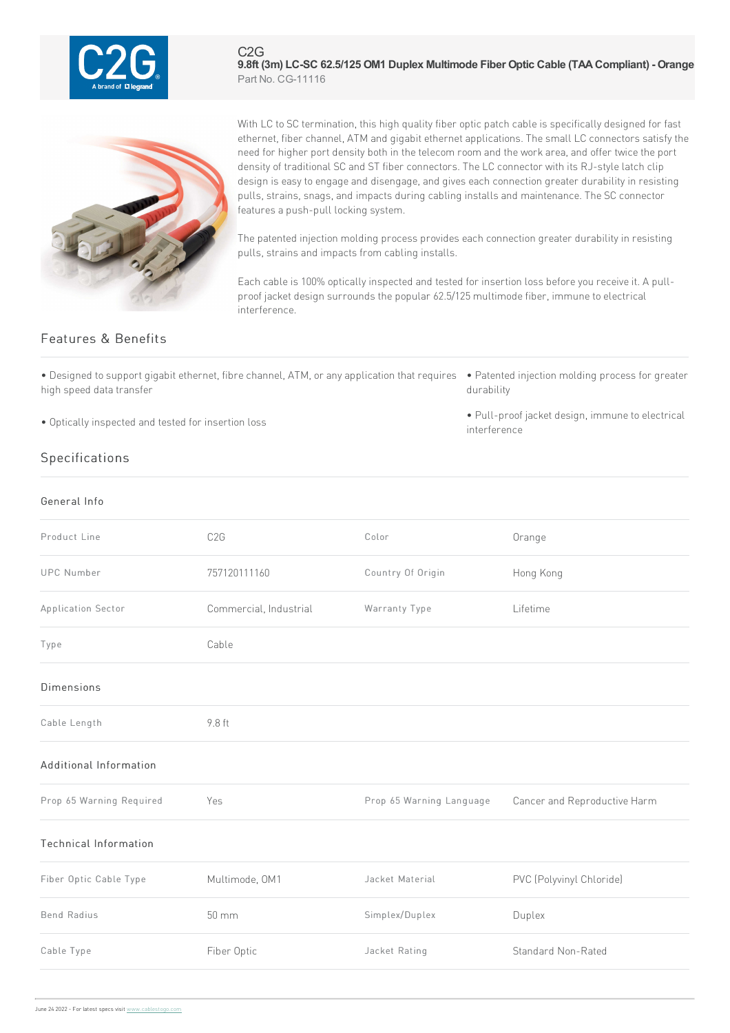

C2G **9.8ft (3m) LC-SC 62.5/125 OM1 Duplex Multimode Fiber Optic Cable (TAACompliant) - Orange** Part No. CG-11116



With LC to SC termination, this high quality fiber optic patch cable is specifically designed for fast ethernet, fiber channel, ATM and gigabit ethernet applications. The small LC connectors satisfy the need for higher port density both in the telecom room and the work area, and offer twice the port density of traditional SC and ST fiber connectors. The LC connector with its RJ-style latch clip design is easy to engage and disengage, and gives each connection greater durability in resisting pulls, strains, snags, and impacts during cabling installs and maintenance. The SC connector features a push-pull locking system.

The patented injection molding process provides each connection greater durability in resisting pulls, strains and impacts from cabling installs.

Each cable is 100% optically inspected and tested for insertion loss before you receive it. A pullproof jacket design surrounds the popular 62.5/125 multimode fiber, immune to electrical interference.

## Features & Benefits

• Designed to support gigabit ethernet, fibre channel, ATM, or any application that requires • Patented injection molding process for greater high speed data transfer

• Optically inspected and tested for insertion loss

- durability
- Pull-proof jacket design, immune to electrical interference

## Specifications

| General Info                 |                        |                          |                              |
|------------------------------|------------------------|--------------------------|------------------------------|
| Product Line                 | C <sub>2</sub> G       | Color                    | Orange                       |
| <b>UPC</b> Number            | 757120111160           | Country Of Origin        | Hong Kong                    |
| Application Sector           | Commercial, Industrial | Warranty Type            | Lifetime                     |
| Type                         | Cable                  |                          |                              |
| Dimensions                   |                        |                          |                              |
| Cable Length                 | 9.8 ft                 |                          |                              |
| Additional Information       |                        |                          |                              |
| Prop 65 Warning Required     | Yes                    | Prop 65 Warning Language | Cancer and Reproductive Harm |
| <b>Technical Information</b> |                        |                          |                              |
| Fiber Optic Cable Type       | Multimode, OM1         | Jacket Material          | PVC (Polyvinyl Chloride)     |
| <b>Bend Radius</b>           | $50 \, \text{mm}$      | Simplex/Duplex           | Duplex                       |
| Cable Type                   | Fiber Optic            | Jacket Rating            | Standard Non-Rated           |
|                              |                        |                          |                              |